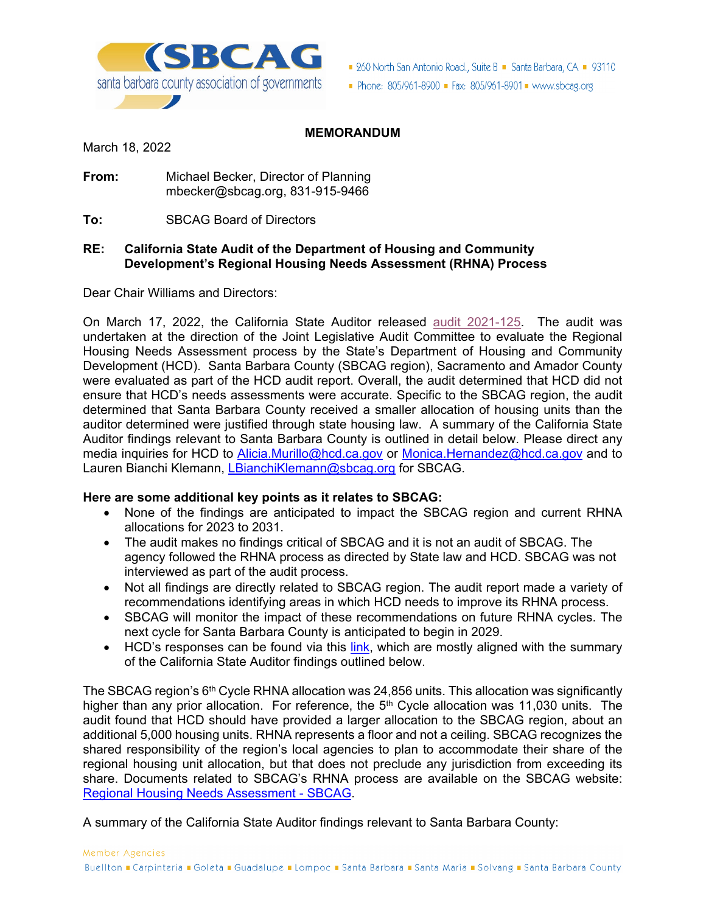

■ 260 North San Antonio Road., Suite B ■ Santa Barbara, CA ■ 93110

Phone: 805/961-8900 Fax: 805/961-8901 Www.sbcag.org

# **MEMORANDUM**

March 18, 2022

**From:** Michael Becker, Director of Planning mbecker@sbcag.org, 831-915-9466

**To:** SBCAG Board of Directors

### **RE: California State Audit of the Department of Housing and Community Development's Regional Housing Needs Assessment (RHNA) Process**

Dear Chair Williams and Directors:

On March 17, 2022, the California State Auditor released audit 2021-125. The audit was undertaken at the direction of the Joint Legislative Audit Committee to evaluate the Regional Housing Needs Assessment process by the State's Department of Housing and Community Development (HCD). Santa Barbara County (SBCAG region), Sacramento and Amador County were evaluated as part of the HCD audit report. Overall, the audit determined that HCD did not ensure that HCD's needs assessments were accurate. Specific to the SBCAG region, the audit determined that Santa Barbara County received a smaller allocation of housing units than the auditor determined were justified through state housing law. A summary of the California State Auditor findings relevant to Santa Barbara County is outlined in detail below. Please direct any media inquiries for HCD to Alicia.Murillo@hcd.ca.gov or Monica.Hernandez@hcd.ca.gov and to Lauren Bianchi Klemann, LBianchiKlemann@sbcag.org for SBCAG.

#### **Here are some additional key points as it relates to SBCAG:**

- None of the findings are anticipated to impact the SBCAG region and current RHNA allocations for 2023 to 2031.
- The audit makes no findings critical of SBCAG and it is not an audit of SBCAG. The agency followed the RHNA process as directed by State law and HCD. SBCAG was not interviewed as part of the audit process.
- Not all findings are directly related to SBCAG region. The audit report made a variety of recommendations identifying areas in which HCD needs to improve its RHNA process.
- SBCAG will monitor the impact of these recommendations on future RHNA cycles. The next cycle for Santa Barbara County is anticipated to begin in 2029.
- HCD's responses can be found via this link, which are mostly aligned with the summary of the California State Auditor findings outlined below.

The SBCAG region's 6<sup>th</sup> Cycle RHNA allocation was 24,856 units. This allocation was significantly higher than any prior allocation. For reference, the  $5<sup>th</sup>$  Cycle allocation was 11,030 units. The audit found that HCD should have provided a larger allocation to the SBCAG region, about an additional 5,000 housing units. RHNA represents a floor and not a ceiling. SBCAG recognizes the shared responsibility of the region's local agencies to plan to accommodate their share of the regional housing unit allocation, but that does not preclude any jurisdiction from exceeding its share. Documents related to SBCAG's RHNA process are available on the SBCAG website: Regional Housing Needs Assessment - SBCAG.

A summary of the California State Auditor findings relevant to Santa Barbara County: